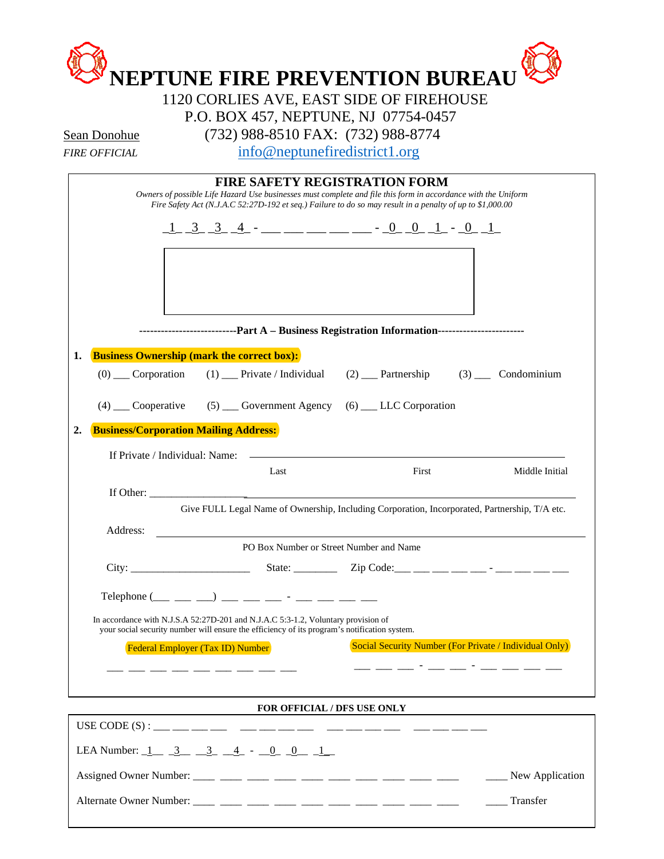| Sean Donohue                |                                              |                                                                                                            | P.O. BOX 457, NEPTUNE, NJ 07754-0457<br>(732) 988-8510 FAX: (732) 988-8774                                                                                                                                                                                         |                                                        |
|-----------------------------|----------------------------------------------|------------------------------------------------------------------------------------------------------------|--------------------------------------------------------------------------------------------------------------------------------------------------------------------------------------------------------------------------------------------------------------------|--------------------------------------------------------|
| <i><b>FIRE OFFICIAL</b></i> |                                              |                                                                                                            | info@neptunefiredistrict1.org                                                                                                                                                                                                                                      |                                                        |
|                             |                                              |                                                                                                            | <b>FIRE SAFETY REGISTRATION FORM</b><br>Owners of possible Life Hazard Use businesses must complete and file this form in accordance with the Uniform<br>Fire Safety Act (N.J.A.C 52:27D-192 et seq.) Failure to do so may result in a penalty of up to \$1,000.00 |                                                        |
|                             |                                              |                                                                                                            | <u> 1 3 3 4 - _ _ _ _ _ _ _ _ _ 0 0 1 - 0 1</u>                                                                                                                                                                                                                    |                                                        |
|                             |                                              |                                                                                                            | ------------------------Part A - Business Registration Information------------------------                                                                                                                                                                         |                                                        |
|                             |                                              | <b>Business Ownership (mark the correct box):</b>                                                          |                                                                                                                                                                                                                                                                    |                                                        |
| $(0)$ ____ Corporation      |                                              | $(1)$ Private / Individual                                                                                 |                                                                                                                                                                                                                                                                    | $(2)$ Partnership $(3)$ Condominium                    |
|                             |                                              |                                                                                                            | (4) Cooperative (5) Covernment Agency (6) LLC Corporation                                                                                                                                                                                                          |                                                        |
|                             | <b>Business/Corporation Mailing Address:</b> |                                                                                                            |                                                                                                                                                                                                                                                                    |                                                        |
|                             | If Private / Individual: Name:               |                                                                                                            |                                                                                                                                                                                                                                                                    |                                                        |
|                             |                                              | Last                                                                                                       | First                                                                                                                                                                                                                                                              | Middle Initial                                         |
| If Other:                   |                                              |                                                                                                            |                                                                                                                                                                                                                                                                    |                                                        |
|                             |                                              |                                                                                                            | Give FULL Legal Name of Ownership, Including Corporation, Incorporated, Partnership, T/A etc.                                                                                                                                                                      |                                                        |
| Address:                    |                                              |                                                                                                            |                                                                                                                                                                                                                                                                    |                                                        |
|                             |                                              |                                                                                                            | PO Box Number or Street Number and Name                                                                                                                                                                                                                            |                                                        |
|                             |                                              |                                                                                                            |                                                                                                                                                                                                                                                                    |                                                        |
|                             |                                              | Telephone $(\_\_\_\_\_\_$ $\_\_\_$ $\_\_\_$ $\_\_$ $\_\_$ $\_\_$ $\_\_$ $\_\_$ $\_\_$ $\_\_$ $\_\_$ $\_\_$ |                                                                                                                                                                                                                                                                    |                                                        |
|                             |                                              | In accordance with N.J.S.A 52:27D-201 and N.J.A.C 5:3-1.2, Voluntary provision of                          |                                                                                                                                                                                                                                                                    |                                                        |
|                             | <b>Federal Employer (Tax ID) Number</b>      | your social security number will ensure the efficiency of its program's notification system.               |                                                                                                                                                                                                                                                                    | Social Security Number (For Private / Individual Only) |
|                             |                                              |                                                                                                            |                                                                                                                                                                                                                                                                    |                                                        |
|                             |                                              |                                                                                                            |                                                                                                                                                                                                                                                                    |                                                        |
|                             | __ __ __ __ __ __ __ __ __ __                |                                                                                                            |                                                                                                                                                                                                                                                                    |                                                        |

Alternate Owner Number: \_\_\_\_ \_\_\_\_ \_\_\_\_ \_\_\_\_ \_\_\_\_ \_\_\_\_ \_\_\_\_ \_\_\_\_ \_\_\_\_ \_\_\_\_ \_\_\_\_ Transfer